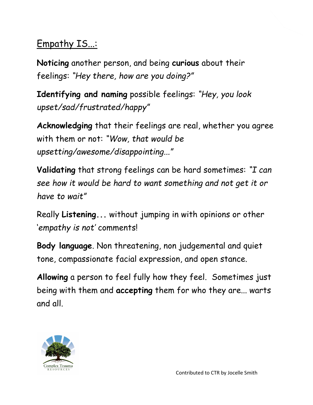## Empathy IS...:

Noticing another person, and being curious about their feelings: "Hey there, how are you doing?"

Identifying and naming possible feelings: "Hey, you look upset/sad/frustrated/happy"

Acknowledging that their feelings are real, whether you agree with them or not: "Wow, that would be upsetting/awesome/disappointing..."

Validating that strong feelings can be hard sometimes: "I can see how it would be hard to want something and not get it or have to wait"

Really Listening... without jumping in with opinions or other 'empathy is not' comments!

Body language. Non threatening, non judgemental and quiet tone, compassionate facial expression, and open stance.

Allowing a person to feel fully how they feel. Sometimes just being with them and accepting them for who they are... warts and all.